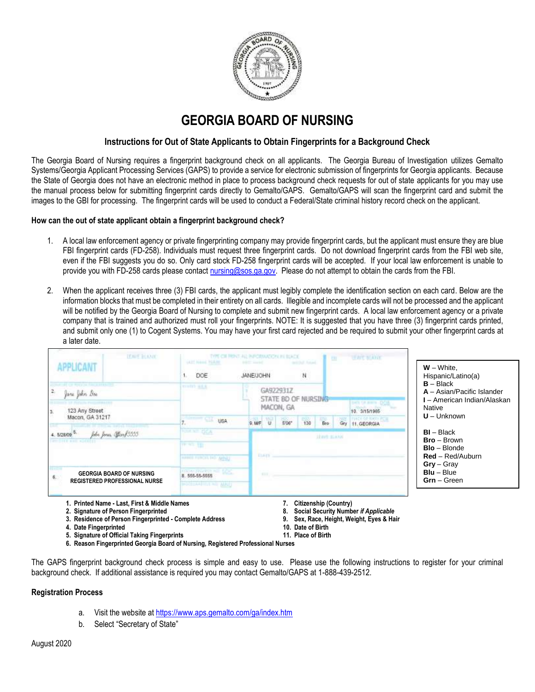

## **GEORGIA BOARD OF NURSING**

## **Instructions for Out of State Applicants to Obtain Fingerprints for a Background Check**

The Georgia Board of Nursing requires a fingerprint background check on all applicants. The Georgia Bureau of Investigation utilizes Gemalto Systems/Georgia Applicant Processing Services (GAPS) to provide a service for electronic submission of fingerprints for Georgia applicants. Because the State of Georgia does not have an electronic method in place to process background check requests for out of state applicants for you may use the manual process below for submitting fingerprint cards directly to Gemalto/GAPS. Gemalto/GAPS will scan the fingerprint card and submit the images to the GBI for processing. The fingerprint cards will be used to conduct a Federal/State criminal history record check on the applicant.

## **How can the out of state applicant obtain a fingerprint background check?**

- 1. A local law enforcement agency or private fingerprinting company may provide fingerprint cards, but the applicant must ensure they are blue FBI fingerprint cards (FD-258). Individuals must request three fingerprint cards. Do not download fingerprint cards from the FBI web site, even if the FBI suggests you do so. Only card stock FD-258 fingerprint cards will be accepted. If your local law enforcement is unable to provide you with FD-258 cards please contac[t nursing@sos.ga.gov.](mailto:nursing@sos.ga.gov) Please do not attempt to obtain the cards from the FBI.
- 2. When the applicant receives three (3) FBI cards, the applicant must legibly complete the identification section on each card. Below are the information blocks that must be completed in their entirety on all cards. Illegible and incomplete cards will not be processed and the applicant will be notified by the Georgia Board of Nursing to complete and submit new fingerprint cards. A local law enforcement agency or a private company that is trained and authorized must roll your fingerprints. NOTE: It is suggested that you have three (3) fingerprint cards printed, and submit only one (1) to Cogent Systems. You may have your first card rejected and be required to submit your other fingerprint cards at a later date.



- 
- **2. Signature of Person Fingerprinted 8. Social Security Number** *if Applicable* 3. Residence of Person Fingerprinted **- Complete Address 9. Sex, Race, Height, Paris 9. Sex, Race, Height, Eyes & Hair**<br>4. Date Fingerprinted
- **4. Date Fingerprinted** 
	-
- 
- 
- 
- 
- **5. Signature of Official Taking Fingerprints 11. Place of Birth**
- **6. Reason Fingerprinted Georgia Board of Nursing, Registered Professional Nurses**

The GAPS fingerprint background check process is simple and easy to use. Please use the following instructions to register for your criminal background check. If additional assistance is required you may contact Gemalto/GAPS at 1-888-439-2512.

## **Registration Process**

- a. Visit the website at <https://www.aps.gemalto.com/ga/index.htm>
- b. Select "Secretary of State"